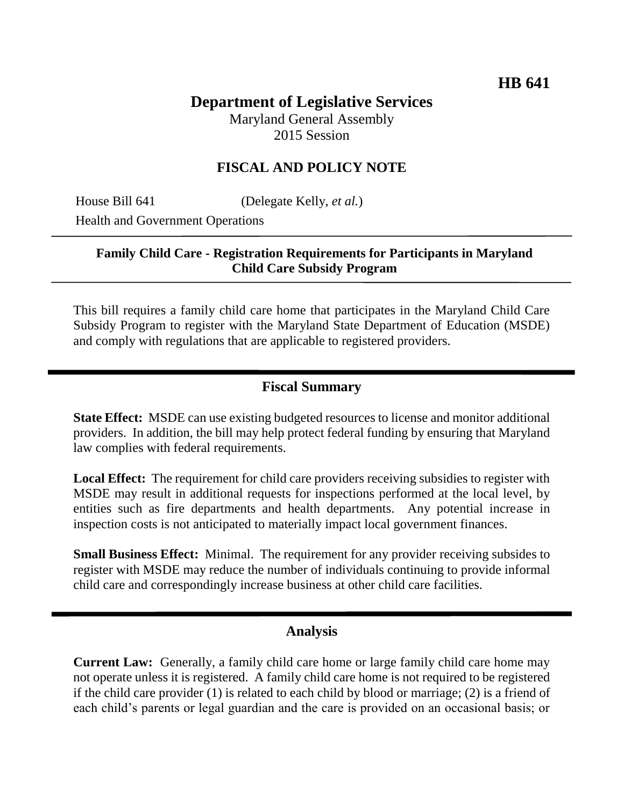# **Department of Legislative Services** Maryland General Assembly

2015 Session

## **FISCAL AND POLICY NOTE**

House Bill 641 (Delegate Kelly, *et al.*) Health and Government Operations

### **Family Child Care - Registration Requirements for Participants in Maryland Child Care Subsidy Program**

This bill requires a family child care home that participates in the Maryland Child Care Subsidy Program to register with the Maryland State Department of Education (MSDE) and comply with regulations that are applicable to registered providers.

### **Fiscal Summary**

**State Effect:** MSDE can use existing budgeted resources to license and monitor additional providers. In addition, the bill may help protect federal funding by ensuring that Maryland law complies with federal requirements.

**Local Effect:** The requirement for child care providers receiving subsidies to register with MSDE may result in additional requests for inspections performed at the local level, by entities such as fire departments and health departments. Any potential increase in inspection costs is not anticipated to materially impact local government finances.

**Small Business Effect:** Minimal. The requirement for any provider receiving subsides to register with MSDE may reduce the number of individuals continuing to provide informal child care and correspondingly increase business at other child care facilities.

#### **Analysis**

**Current Law:** Generally, a family child care home or large family child care home may not operate unless it is registered. A family child care home is not required to be registered if the child care provider (1) is related to each child by blood or marriage; (2) is a friend of each child's parents or legal guardian and the care is provided on an occasional basis; or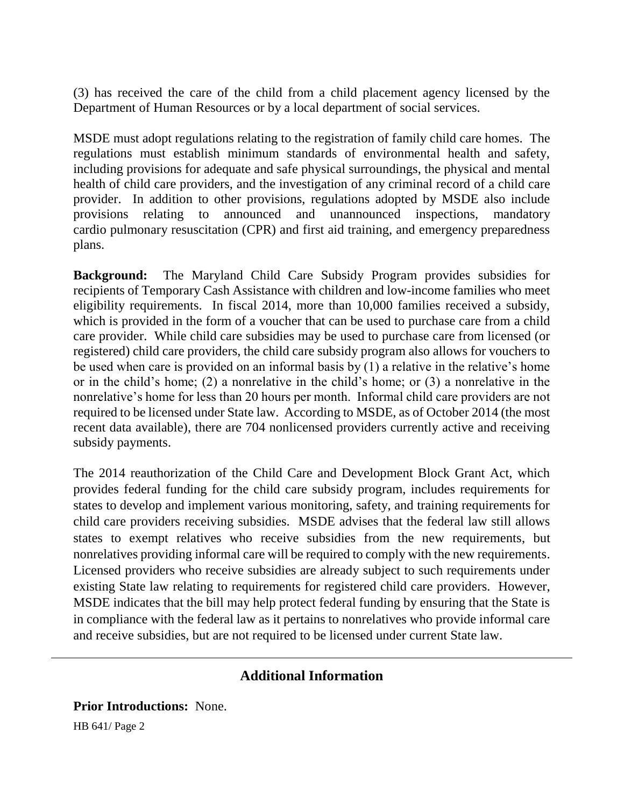(3) has received the care of the child from a child placement agency licensed by the Department of Human Resources or by a local department of social services.

MSDE must adopt regulations relating to the registration of family child care homes. The regulations must establish minimum standards of environmental health and safety, including provisions for adequate and safe physical surroundings, the physical and mental health of child care providers, and the investigation of any criminal record of a child care provider. In addition to other provisions, regulations adopted by MSDE also include provisions relating to announced and unannounced inspections, mandatory cardio pulmonary resuscitation (CPR) and first aid training, and emergency preparedness plans.

**Background:** The Maryland Child Care Subsidy Program provides subsidies for recipients of Temporary Cash Assistance with children and low-income families who meet eligibility requirements. In fiscal 2014, more than 10,000 families received a subsidy, which is provided in the form of a voucher that can be used to purchase care from a child care provider. While child care subsidies may be used to purchase care from licensed (or registered) child care providers, the child care subsidy program also allows for vouchers to be used when care is provided on an informal basis by (1) a relative in the relative's home or in the child's home; (2) a nonrelative in the child's home; or (3) a nonrelative in the nonrelative's home for less than 20 hours per month. Informal child care providers are not required to be licensed under State law. According to MSDE, as of October 2014 (the most recent data available), there are 704 nonlicensed providers currently active and receiving subsidy payments.

The 2014 reauthorization of the Child Care and Development Block Grant Act, which provides federal funding for the child care subsidy program, includes requirements for states to develop and implement various monitoring, safety, and training requirements for child care providers receiving subsidies. MSDE advises that the federal law still allows states to exempt relatives who receive subsidies from the new requirements, but nonrelatives providing informal care will be required to comply with the new requirements. Licensed providers who receive subsidies are already subject to such requirements under existing State law relating to requirements for registered child care providers. However, MSDE indicates that the bill may help protect federal funding by ensuring that the State is in compliance with the federal law as it pertains to nonrelatives who provide informal care and receive subsidies, but are not required to be licensed under current State law.

## **Additional Information**

**Prior Introductions:** None.

HB 641/ Page 2